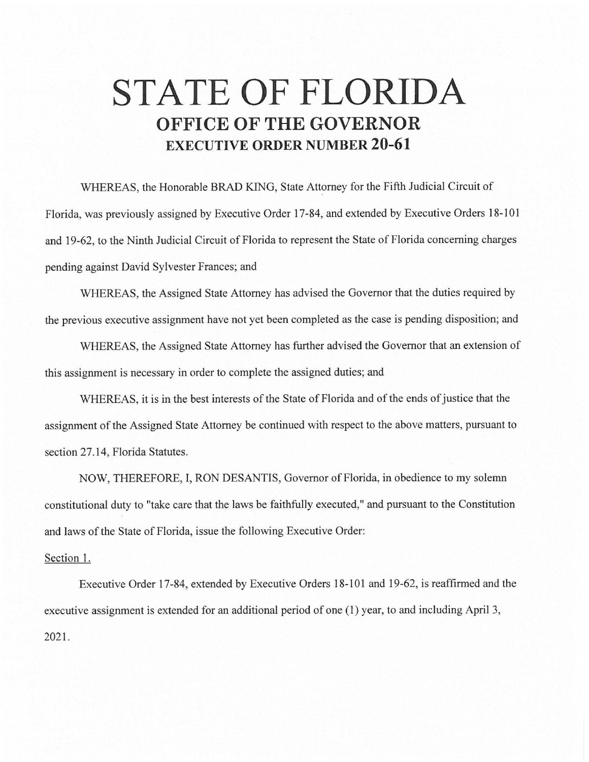## **STATE OF FLORIDA OFFICE OF THE GOVERNOR EXECUTIVE ORDER NUMBER 20-61**

WHEREAS, the Honorable BRAD KING, State Attorney for the Fifth Judicial Circuit of Florida, was previously assigned by Executive Order 17-84, and extended by Executive Orders 18-101 and 19-62, to the Ninth Judicial Circuit of Florida to represent the State of Florida concerning charges pending against David Sylvester Frances; and

WHEREAS, the Assigned State Attorney has advised the Governor that the duties required by the previous executive assignment have not yet been completed as the case is pending disposition; and

WHEREAS, the Assigned State Attorney has further advised the Governor that an extension of this assignment is necessary in order to complete the assigned duties; and

WHEREAS, it is in the best interests of the State of Florida and of the ends of justice that the assignment of the Assigned State Attorney be continued with respect to the above matters, pursuant to section 27.14, Florida Statutes.

NOW, THEREFORE, I, RON DESANTIS, Governor of Florida, in obedience to my solemn constitutional duty to "take care that the laws be faithfully executed," and pursuant to the Constitution and laws of the State of Florida, issue the following Executive Order:

## Section I.

Executive Order 17-84, extended by Executive Orders 18-101 and 19-62, is reaffirmed and the executive assignment is extended for an additional period of one (I) year, to and including April 3, 2021.